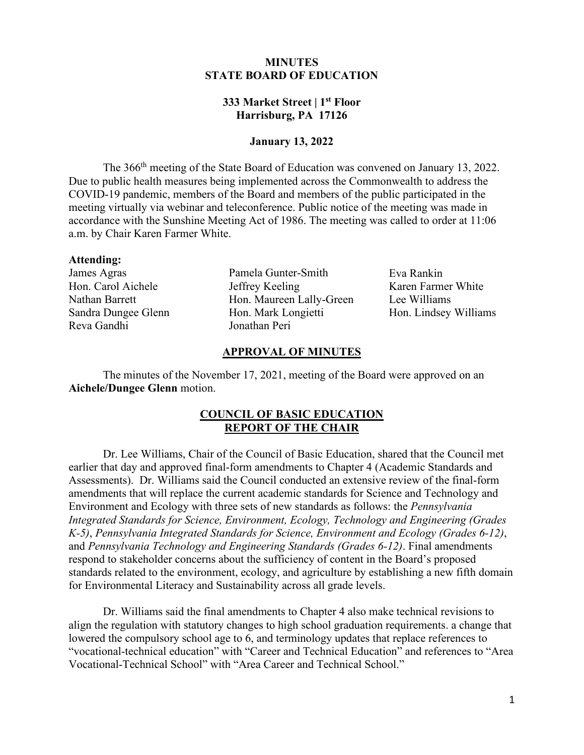# **MINUTES STATE BOARD OF EDUCATION**

# **333 Market Street | 1st Floor Harrisburg, PA 17126**

### **January 13, 2022**

The 366<sup>th</sup> meeting of the State Board of Education was convened on January 13, 2022. Due to public health measures being implemented across the Commonwealth to address the COVID-19 pandemic, members of the Board and members of the public participated in the meeting virtually via webinar and teleconference. Public notice of the meeting was made in accordance with the Sunshine Meeting Act of 1986. The meeting was called to order at 11:06 a.m. by Chair Karen Farmer White.

#### **Attending:**

James Agras Hon. Carol Aichele Nathan Barrett Sandra Dungee Glenn Reva Gandhi

Pamela Gunter-Smith Jeffrey Keeling Hon. Maureen Lally-Green Hon. Mark Longietti Jonathan Peri

Eva Rankin Karen Farmer White Lee Williams Hon. Lindsey Williams

### **APPROVAL OF MINUTES**

The minutes of the November 17, 2021, meeting of the Board were approved on an **Aichele/Dungee Glenn** motion.

# **COUNCIL OF BASIC EDUCATION REPORT OF THE CHAIR**

Dr. Lee Williams, Chair of the Council of Basic Education, shared that the Council met earlier that day and approved final-form amendments to Chapter 4 (Academic Standards and Assessments). Dr. Williams said the Council conducted an extensive review of the final-form amendments that will replace the current academic standards for Science and Technology and Environment and Ecology with three sets of new standards as follows: the *Pennsylvania Integrated Standards for Science, Environment, Ecology, Technology and Engineering (Grades K-5)*, *Pennsylvania Integrated Standards for Science, Environment and Ecology (Grades 6-12)*, and *Pennsylvania Technology and Engineering Standards (Grades 6-12)*. Final amendments respond to stakeholder concerns about the sufficiency of content in the Board's proposed standards related to the environment, ecology, and agriculture by establishing a new fifth domain for Environmental Literacy and Sustainability across all grade levels.

Dr. Williams said the final amendments to Chapter 4 also make technical revisions to align the regulation with statutory changes to high school graduation requirements. a change that lowered the compulsory school age to 6, and terminology updates that replace references to "vocational-technical education" with "Career and Technical Education" and references to "Area Vocational-Technical School" with "Area Career and Technical School."